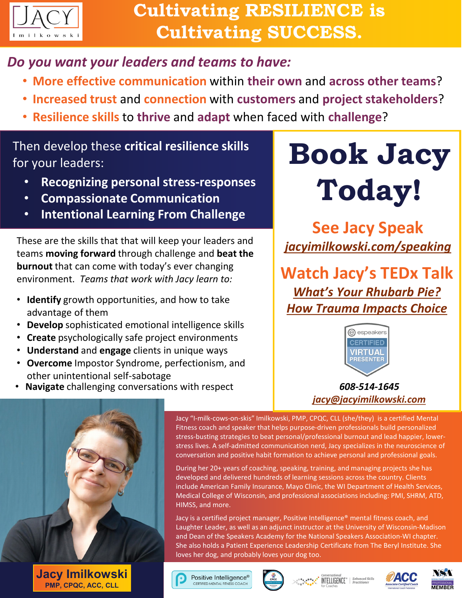

## *Do you want your leaders and teams to have:*

- **More effective communication** within **their own** and **across other teams**?
- **Increased trust** and **connection** with **customers** and **project stakeholders**?
- **Resilience skills** to **thrive** and **adapt** when faced with **challenge**?

### Then develop these **critical resilience skills** for your leaders:

- **Recognizing personal stress-responses**
- **Compassionate Communication**
- **Intentional Learning From Challenge**

These are the skills that that will keep your leaders and teams **moving forward** through challenge and **beat the burnout** that can come with today's ever changing environment. *Teams that work with Jacy learn to:*

- **Identify** growth opportunities, and how to take advantage of them
- **Develop** sophisticated emotional intelligence skills
- **Create** psychologically safe project environments
- **Understand** and **engage** clients in unique ways
- **Overcome** Impostor Syndrome, perfectionism, and other unintentional self-sabotage
- **Navigate** challenging conversations with respect

# **Book Jacy Today!**

**See Jacy Speak** *[jacyimilkowski.com/speaking](https://jacyimilkowski.com/)*

**Watch Jacy's TEDx Talk** *What's Your Rhubarb Pie? [How Trauma Impacts Choice](https://youtu.be/IuBJWSakrNA)*



*608-514-1645 [jacy@jacyimilkowski.com](mailto:jacy@jacyimilkowski.com?subject=Speaker%20Program%20Interest)*



**Jacy Imilkowski PMP, CPQC, ACC, CLL**

Jacy "I-milk-cows-on-skis" Imilkowski, PMP, CPQC, CLL (she/they) is a certified Mental Fitness coach and speaker that helps purpose-driven professionals build personalized stress-busting strategies to beat personal/professional burnout and lead happier, lowerstress lives. A self-admitted communication nerd, Jacy specializes in the neuroscience of conversation and positive habit formation to achieve personal and professional goals.

During her 20+ years of coaching, speaking, training, and managing projects she has developed and delivered hundreds of learning sessions across the country. Clients include American Family Insurance, Mayo Clinic, the WI Department of Health Services, Medical College of Wisconsin, and professional associations including: PMI, SHRM, ATD, HIMSS, and more.

Jacy is a certified project manager, Positive Intelligence® mental fitness coach, and Laughter Leader, as well as an adjunct instructor at the University of Wisconsin-Madison and Dean of the Speakers Academy for the National Speakers Association-WI chapter. She also holds a Patient Experience Leadership Certificate from The Beryl Institute. She loves her dog, and probably loves your dog too.

Positive Intelligence® CERTIFIED MENTAL FITNESS COACH